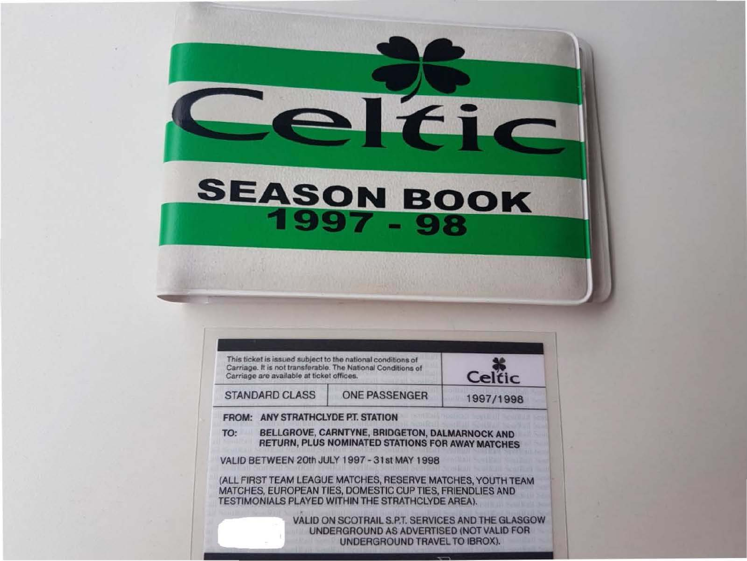## SEASON BOOK

Teller

| This ticket is issued subject to the national conditions of<br>Carriage. It is not transferable. The National Conditions of<br>Carriage are available at ticket offices. |                                                                                                                                                                               | Celtic    |
|--------------------------------------------------------------------------------------------------------------------------------------------------------------------------|-------------------------------------------------------------------------------------------------------------------------------------------------------------------------------|-----------|
| <b>STANDARD CLASS</b>                                                                                                                                                    | <b>ONE PASSENGER</b>                                                                                                                                                          | 1997/1998 |
| <b>FROM: ANY STRATHCLYDE P.T. STATION</b>                                                                                                                                |                                                                                                                                                                               |           |
| TO:                                                                                                                                                                      | BELLGROVE, CARNTYNE, BRIDGETON, DALMARNOCK AND<br>RETURN, PLUS NOMINATED STATIONS FOR AWAY MATCHES                                                                            |           |
|                                                                                                                                                                          | VALID BETWEEN 20th JULY 1997 - 31st MAY 1998                                                                                                                                  |           |
|                                                                                                                                                                          | (ALL FIRST TEAM LEAGUE MATCHES, RESERVE MATCHES, YOUTH TEAM<br>MATCHES, EUROPEAN TIES, DOMESTIC CUP TIES, FRIENDLIES AND<br>TESTIMONIALS PLAYED WITHIN THE STRATHCLYDE AREA). |           |
|                                                                                                                                                                          | VALID ON SCOTRAIL S.P.T. SERVICES AND THE GLASGOW<br>UNDERGROUND AS ADVERTISED (NOT VALID FOR<br>UNDERGROUND TRAVEL TO IBROX).                                                |           |